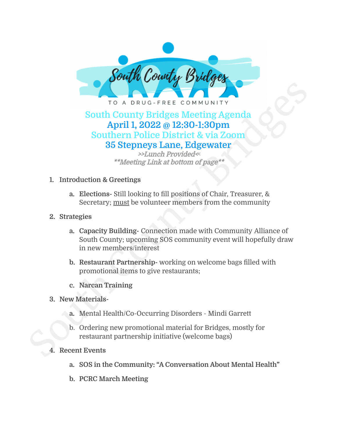

# South County Bridges Meeting Agenda<br>
South County Bridges Meeting Agenda<br>
April 1, 2022 @ 12:30-1:30pm<br>
Southern Police District & via Zoom<br>
35 Stepneys Lane, Edgewater<br>
\*\*Meeting Link at bottom of page\*\*<br>
1. Introduction **South County Bridges Meeting Agenda April 1, 2022 @ 12:30-1:30pm Southern Police District & via Zoom 35 Stepneys Lane, Edgewater**

>>Lunch Provided<**<** \*\*Meeting Link at bottom of page\*\*

- **1. Introduction & Greetings**
	- **a. Elections-** Still looking to fill positions of Chair, Treasurer, & Secretary; must be volunteer members from the community
- **2. Strategies**
	- **a. Capacity Building-** Connection made with Community Alliance of South County; upcoming SOS community event will hopefully draw in new members/interest
	- **b. Restaurant Partnership-** working on welcome bags filled with promotional items to give restaurants;
	- **c. Narcan Training**
- **3. New Materials**
	- **a.** Mental Health/Co-Occurring Disorders Mindi Garrett
	- b. Ordering new promotional material for Bridges, mostly for restaurant partnership initiative (welcome bags)
- **4. Recent Events**
	- **a. SOS in the Community: "A Conversation About Mental Health"**
	- **b. PCRC March Meeting**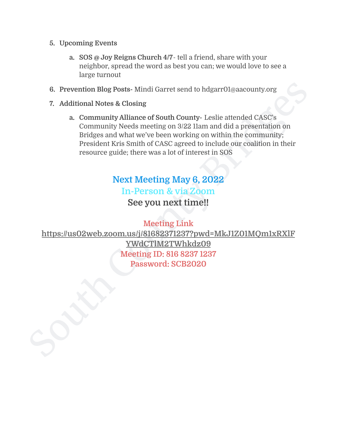- **5. Upcoming Events**
	- **a. SOS @ Joy Reigns Church 4/7** tell a friend, share with your neighbor, spread the word as best you can; we would love to see a large turnout
- **6. Prevention Blog Posts-** Mindi Garret send to hdgarr01@aacounty.org
- **7. Additional Notes & Closing**
	- **a. Community Alliance of South County-** Leslie attended CASC's Community Needs meeting on 3/22 11am and did a presentation on Bridges and what we've been working on within the community; President Kris Smith of CASC agreed to include our coalition in their resource guide; there was a lot of interest in SOS

# **Next Meeting May 6, 2022 In-Person & via Zoom See you next time!!**

6. Prevention Blog Posts- Mindi Garret send to hdgarr01@aacounty.org<br>
7. Additional Notes & Closing<br>
2. Community Milance of South [Cou](https://us02web.zoom.us/j/81682371237?pwd=MkJ1Z01MQm1xRXlFYWdCTlM2TWhkdz09)nty- Leslie attended CASC's<br>
2. Community Nelliance of South County- Leslie attended CA **Meeting Link [https://us02web.zoom.us/j/81682371237?pwd=MkJ1Z01MQm1xRXlF](https://us02web.zoom.us/j/81682371237?pwd=MkJ1Z01MQm1xRXlFYWdCTlM2TWhkdz09) YWdCTlM2TWhkdz09 Meeting ID: 816 8237 1237 Password: SCB2020**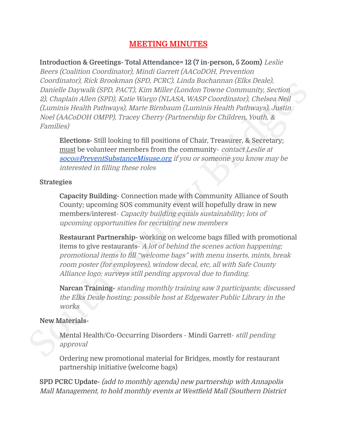### **MEETING MINUTES**

Continuous), to an involuntary experimental (and increased and increased and increased and increase the matter (County Bridges (County), Section and the matter (County Bridges (CALASA, WASP Coordinator), Chelses Neil<br>(Lumi **Introduction & Greetings- Total Attendance= 12 (7 in-person, 5 Zoom)** Leslie Beers (Coalition Coordinator), Mindi Garrett (AACoDOH, Prevention Coordinator), Rick Brookman (SPD, PCRC), Linda Buchannan (Elks Deale), Danielle Daywalk (SPD, PACT), Kim Miller (London Towne Community, Section 2), Chaplain Allen (SPD), Katie Wargo (NLASA, WASP Coordinator), Chelsea Neil (Luminis Health Pathways), Marte Birnbaum (Luminis Health Pathways), Justin Noel (AACoDOH OMPP), Tracey Cherry (Partnership for Children, Youth, & Families)

**Elections-** Still looking to fill positions of Chair, Treasurer, & Secretary; must be volunteer members from the community- contact Leslie at [soco@PreventSubstanceMisuse.org](mailto:soco@PreventSubstanceMisuse.org) if you or someone you know may be interested in filling these roles

### **Strategies**

**Capacity Building-** Connection made with Community Alliance of South County; upcoming SOS community event will hopefully draw in new members/interest- Capacity building equals sustainability; lots of upcoming opportunities for recruiting new members

**Restaurant Partnership-** working on welcome bags filled with promotional items to give restaurants- A lot of behind the scenes action happening; promotional items to fill "welcome bags" with menu inserts, mints, break room poster (for employees), window decal, etc, all with Safe County Alliance logo; surveys still pending approval due to funding.

**Narcan Training-** standing monthly training saw 3 participants; discussed the Elks Deale hosting; possible host at Edgewater Public Library in the works

### **New Materials-**

Mental Health/Co-Occurring Disorders - Mindi Garrett- still pending approval

Ordering new promotional material for Bridges, mostly for restaurant partnership initiative (welcome bags)

**SPD PCRC Update-** (add to monthly agenda) new partnership with Annapolis Mall Management, to hold monthly events at Westfield Mall (Southern District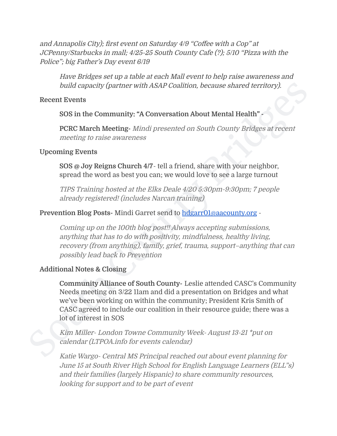and Annapolis City); first event on Saturday 4/9 "Coffee with <sup>a</sup> Cop" at JCPenny/Starbucks in mall; 4/25-25 South County Cafe (?); 5/10 "Pizza with the Police"; big Father's Day event 6/19

Have Bridges set up <sup>a</sup> table at each Mall event to help raise awareness and build capacity (partner with ASAP Coalition, because shared territory).

### **Recent Events**

### **SOS in the Community: "A Conversation About Mental Health" -**

**PCRC March Meeting-** Mindi presented on South County Bridges at recent meeting to raise awareness

### **Upcoming Events**

**SOS @ Joy Reigns Church 4/7**- tell a friend, share with your neighbor, spread the word as best you can; we would love to see a large turnout

TIPS Training hosted at the Elks Deale 4/20 5:30pm-9:30pm; 7 people already registered! (includes Narcan training)

### **Prevention Blog Posts-** Mindi Garret send to [hdgarr01@aacounty.org](mailto:hdgarr01@aacounty.org) -

Coming up on the 100th blog post!! Always accepting submissions, anything that has to do with positivity, mindfulness, healthy living, recovery (from anything), family, grief, trauma, support–anything that can possibly lead back to Prevention

### **Additional Notes & Closing**

build capacity (partner with ASAP Coalition, because shared territory).<br>
Recent Events<br>
SOS in the Community: "A Conversation About Mental Health"<br>
PCRC March Meeting - Mind presented on South County Bridges at recent<br>
me **Community Alliance of South County-** Leslie attended CASC's Community Needs meeting on 3/22 11am and did a presentation on Bridges and what we've been working on within the community; President Kris Smith of CASC agreed to include our coalition in their resource guide; there was a lot of interest in SOS

Kim Miller- London Towne Community Week- August 13-21 \*put on calendar (LTPOA.info for events calendar)

Katie Wargo- Central MS Principal reached out about event planning for June 15 at South River High School for English Language Learners (ELL"s) and their families (largely Hispanic) to share community resources, looking for support and to be part of event